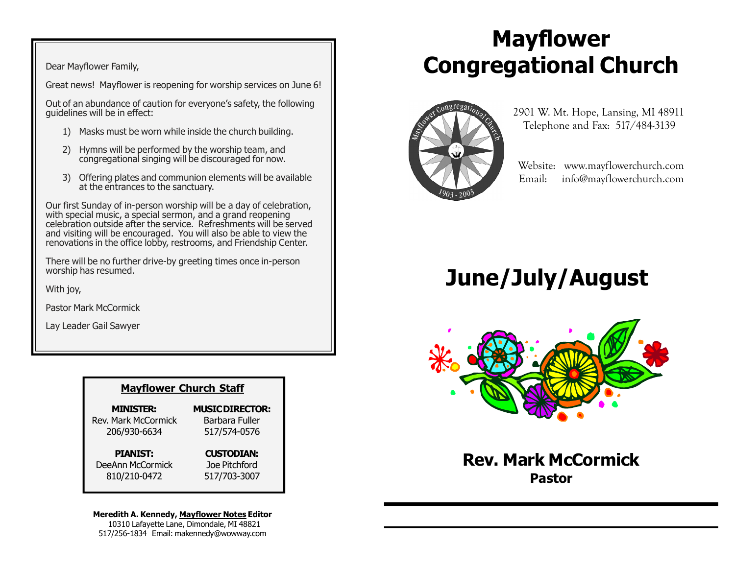Dear Mayflower Family,

Great news! Mayflower is reopening for worship services on June 6!

Out of an abundance of caution for everyone's safety, the following guidelines will be in effect:

- 1) Masks must be worn while inside the church building.
- 2) Hymns will be performed by the worship team, and congregational singing will be discouraged for now.
- 3) Offering plates and communion elements will be available at the entrances to the sanctuary.

Our first Sunday of in-person worship will be a day of celebration, with special music, a special sermon, and a grand reopening celebration outside after the service. Refreshments will be served and visiting will be encouraged. You will also be able to view the renovations in the office lobby, restrooms, and Friendship Center.

There will be no further drive-by greeting times once in-person worship has resumed.

With joy,

Pastor Mark McCormick

Lay Leader Gail Sawyer

#### Mayflower Church Staff

MINISTER: Rev. Mark McCormick 206/930-6634

#### MUSIC DIRECTOR: Barbara Fuller 517/574-0576

PIANIST:

#### CUSTODIAN:

DeeAnn McCormick 810/210-0472

Joe Pitchford 517/703-3007

#### Meredith A. Kennedy, Mayflower Notes Editor

 10310 Lafayette Lane, Dimondale, MI 48821 517/256-1834 Email: makennedy@wowway.com

# Mayflower Congregational Church



 2901 W. Mt. Hope, Lansing, MI 48911 Telephone and Fax: 517/484-3139

 Website: www.mayflowerchurch.com Email: info@mayflowerchurch.com

# June/July/August



Rev. Mark McCormick Pastor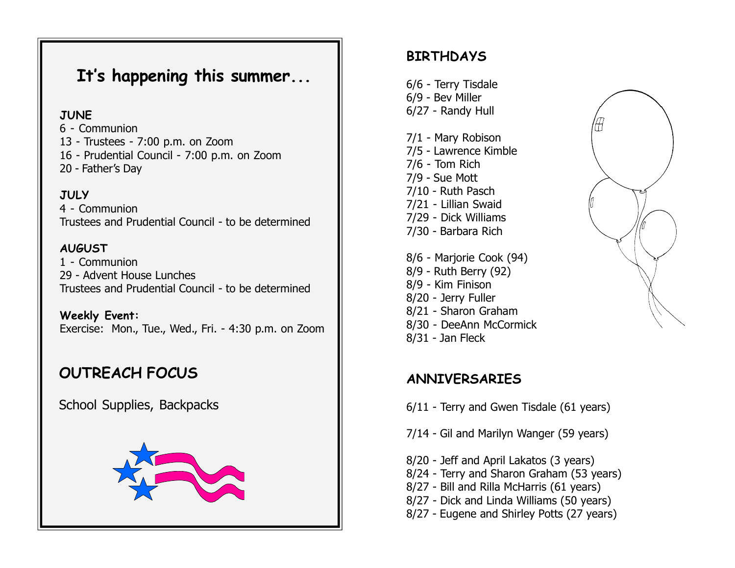## It's happening this summer...

#### **JUNE**

6 - Communion 13 - Trustees - 7:00 p.m. on Zoom 16 - Prudential Council - 7:00 p.m. on Zoom 20 - Father's Day

#### **JULY**

4 - Communion Trustees and Prudential Council - to be determined

#### AUGUST

1 - Communion 29 - Advent House Lunches Trustees and Prudential Council - to be determined

Weekly Event: Exercise: Mon., Tue., Wed., Fri. - 4:30 p.m. on Zoom

## OUTREACH FOCUS

School Supplies, Backpacks



### **BIRTHDAYS**

6/6 - Terry Tisdale 6/9 - Bev Miller 6/27 - Randy Hull

7/1 - Mary Robison 7/5 - Lawrence Kimble 7/6 - Tom Rich 7/9 - Sue Mott 7/10 - Ruth Pasch 7/21 - Lillian Swaid 7/29 - Dick Williams 7/30 - Barbara Rich

8/6 - Marjorie Cook (94) 8/9 - Ruth Berry (92) 8/9 - Kim Finison 8/20 - Jerry Fuller 8/21 - Sharon Graham 8/30 - DeeAnn McCormick 8/31 - Jan Fleck

### ANNIVERSARIES

6/11 - Terry and Gwen Tisdale (61 years)

- 7/14 Gil and Marilyn Wanger (59 years)
- 8/20 Jeff and April Lakatos (3 years)
- 8/24 Terry and Sharon Graham (53 years)
- 8/27 Bill and Rilla McHarris (61 years)
- 8/27 Dick and Linda Williams (50 years)
- 8/27 Eugene and Shirley Potts (27 years)

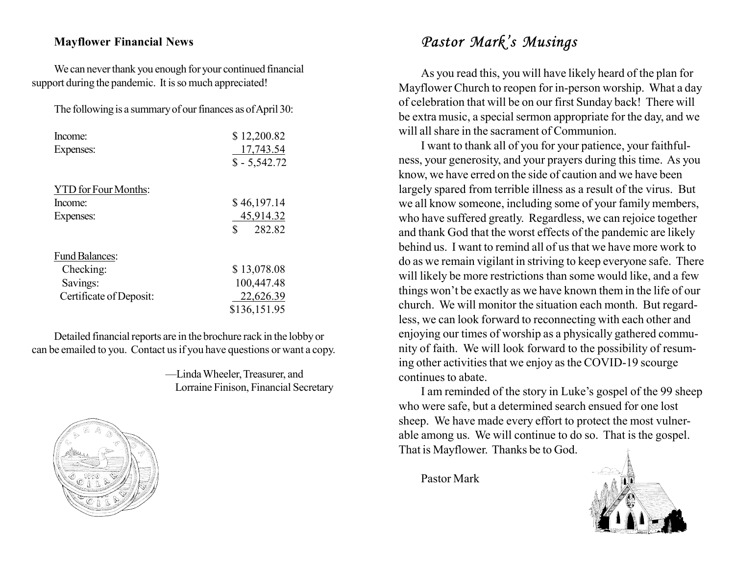#### Mayflower Financial News

We can never thank you enough for your continued financial support during the pandemic. It is so much appreciated!

The following is a summary of our finances as of April 30:

| Income:<br>Expenses:        | \$12,200.82<br>17,743.54<br>$$ - 5,542.72$ |
|-----------------------------|--------------------------------------------|
| <b>YTD</b> for Four Months: |                                            |
| Income:                     | \$46,197.14                                |
| Expenses:                   | 45,914.32                                  |
|                             | \$<br>282.82                               |
| <b>Fund Balances:</b>       |                                            |
| Checking:                   | \$13,078.08                                |
| Savings:                    | 100,447.48                                 |
| Certificate of Deposit:     | 22,626.39                                  |
|                             | \$136,151.95                               |

Detailed financial reports are in the brochure rack in the lobby or can be emailed to you. Contact us if you have questions or want a copy.

> —Linda Wheeler, Treasurer, and Lorraine Finison, Financial Secretary



## Pastor Mark's Musings

As you read this, you will have likely heard of the plan for Mayflower Church to reopen for in-person worship. What a day of celebration that will be on our first Sunday back! There will be extra music, a special sermon appropriate for the day, and we will all share in the sacrament of Communion.

I want to thank all of you for your patience, your faithfulness, your generosity, and your prayers during this time. As you know, we have erred on the side of caution and we have been largely spared from terrible illness as a result of the virus. But we all know someone, including some of your family members, who have suffered greatly. Regardless, we can rejoice together and thank God that the worst effects of the pandemic are likely behind us. I want to remind all of us that we have more work to do as we remain vigilant in striving to keep everyone safe. There will likely be more restrictions than some would like, and a few things won't be exactly as we have known them in the life of our church. We will monitor the situation each month. But regardless, we can look forward to reconnecting with each other and enjoying our times of worship as a physically gathered community of faith. We will look forward to the possibility of resuming other activities that we enjoy as the COVID-19 scourge continues to abate.

I am reminded of the story in Luke's gospel of the 99 sheep who were safe, but a determined search ensued for one lost sheep. We have made every effort to protect the most vulnerable among us. We will continue to do so. That is the gospel. That is Mayflower. Thanks be to God.

Pastor Mark